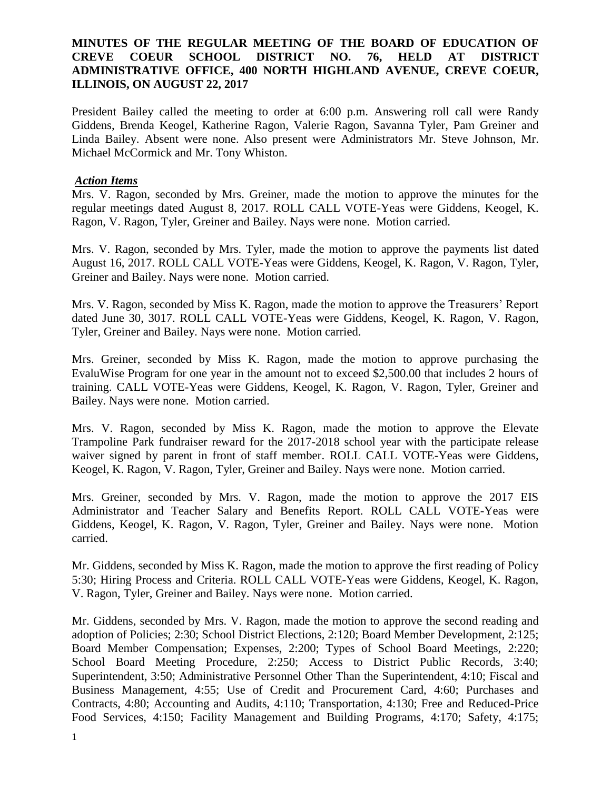## **MINUTES OF THE REGULAR MEETING OF THE BOARD OF EDUCATION OF CREVE COEUR SCHOOL DISTRICT NO. 76, HELD AT DISTRICT ADMINISTRATIVE OFFICE, 400 NORTH HIGHLAND AVENUE, CREVE COEUR, ILLINOIS, ON AUGUST 22, 2017**

President Bailey called the meeting to order at 6:00 p.m. Answering roll call were Randy Giddens, Brenda Keogel, Katherine Ragon, Valerie Ragon, Savanna Tyler, Pam Greiner and Linda Bailey. Absent were none. Also present were Administrators Mr. Steve Johnson, Mr. Michael McCormick and Mr. Tony Whiston.

#### *Action Items*

Mrs. V. Ragon, seconded by Mrs. Greiner, made the motion to approve the minutes for the regular meetings dated August 8, 2017. ROLL CALL VOTE-Yeas were Giddens, Keogel, K. Ragon, V. Ragon, Tyler, Greiner and Bailey. Nays were none. Motion carried.

Mrs. V. Ragon, seconded by Mrs. Tyler, made the motion to approve the payments list dated August 16, 2017. ROLL CALL VOTE-Yeas were Giddens, Keogel, K. Ragon, V. Ragon, Tyler, Greiner and Bailey. Nays were none. Motion carried.

Mrs. V. Ragon, seconded by Miss K. Ragon, made the motion to approve the Treasurers' Report dated June 30, 3017. ROLL CALL VOTE-Yeas were Giddens, Keogel, K. Ragon, V. Ragon, Tyler, Greiner and Bailey. Nays were none. Motion carried.

Mrs. Greiner, seconded by Miss K. Ragon, made the motion to approve purchasing the EvaluWise Program for one year in the amount not to exceed \$2,500.00 that includes 2 hours of training. CALL VOTE-Yeas were Giddens, Keogel, K. Ragon, V. Ragon, Tyler, Greiner and Bailey. Nays were none. Motion carried.

Mrs. V. Ragon, seconded by Miss K. Ragon, made the motion to approve the Elevate Trampoline Park fundraiser reward for the 2017-2018 school year with the participate release waiver signed by parent in front of staff member. ROLL CALL VOTE-Yeas were Giddens, Keogel, K. Ragon, V. Ragon, Tyler, Greiner and Bailey. Nays were none. Motion carried.

Mrs. Greiner, seconded by Mrs. V. Ragon, made the motion to approve the 2017 EIS Administrator and Teacher Salary and Benefits Report. ROLL CALL VOTE-Yeas were Giddens, Keogel, K. Ragon, V. Ragon, Tyler, Greiner and Bailey. Nays were none. Motion carried.

Mr. Giddens, seconded by Miss K. Ragon, made the motion to approve the first reading of Policy 5:30; Hiring Process and Criteria. ROLL CALL VOTE-Yeas were Giddens, Keogel, K. Ragon, V. Ragon, Tyler, Greiner and Bailey. Nays were none. Motion carried.

Mr. Giddens, seconded by Mrs. V. Ragon, made the motion to approve the second reading and adoption of Policies; 2:30; School District Elections, 2:120; Board Member Development, 2:125; Board Member Compensation; Expenses, 2:200; Types of School Board Meetings, 2:220; School Board Meeting Procedure, 2:250; Access to District Public Records, 3:40; Superintendent, 3:50; Administrative Personnel Other Than the Superintendent, 4:10; Fiscal and Business Management, 4:55; Use of Credit and Procurement Card, 4:60; Purchases and Contracts, 4:80; Accounting and Audits, 4:110; Transportation, 4:130; Free and Reduced-Price Food Services, 4:150; Facility Management and Building Programs, 4:170; Safety, 4:175;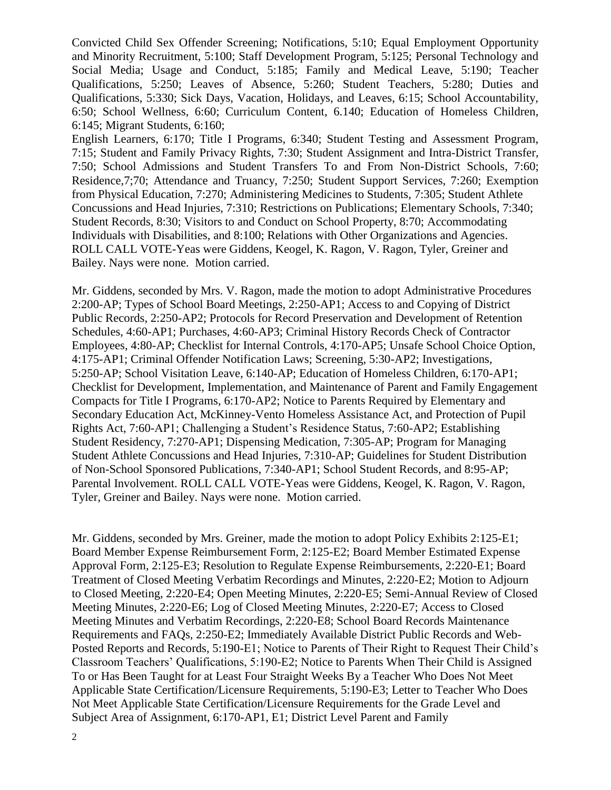Convicted Child Sex Offender Screening; Notifications, 5:10; Equal Employment Opportunity and Minority Recruitment, 5:100; Staff Development Program, 5:125; Personal Technology and Social Media; Usage and Conduct, 5:185; Family and Medical Leave, 5:190; Teacher Qualifications, 5:250; Leaves of Absence, 5:260; Student Teachers, 5:280; Duties and Qualifications, 5:330; Sick Days, Vacation, Holidays, and Leaves, 6:15; School Accountability, 6:50; School Wellness, 6:60; Curriculum Content, 6.140; Education of Homeless Children, 6:145; Migrant Students, 6:160;

English Learners, 6:170; Title I Programs, 6:340; Student Testing and Assessment Program, 7:15; Student and Family Privacy Rights, 7:30; Student Assignment and Intra-District Transfer, 7:50; School Admissions and Student Transfers To and From Non-District Schools, 7:60; Residence,7;70; Attendance and Truancy, 7:250; Student Support Services, 7:260; Exemption from Physical Education, 7:270; Administering Medicines to Students, 7:305; Student Athlete Concussions and Head Injuries, 7:310; Restrictions on Publications; Elementary Schools, 7:340; Student Records, 8:30; Visitors to and Conduct on School Property, 8:70; Accommodating Individuals with Disabilities, and 8:100; Relations with Other Organizations and Agencies. ROLL CALL VOTE-Yeas were Giddens, Keogel, K. Ragon, V. Ragon, Tyler, Greiner and Bailey. Nays were none. Motion carried.

Mr. Giddens, seconded by Mrs. V. Ragon, made the motion to adopt Administrative Procedures 2:200-AP; Types of School Board Meetings, 2:250-AP1; Access to and Copying of District Public Records, 2:250-AP2; Protocols for Record Preservation and Development of Retention Schedules, 4:60-AP1; Purchases, 4:60-AP3; Criminal History Records Check of Contractor Employees, 4:80-AP; Checklist for Internal Controls, 4:170-AP5; Unsafe School Choice Option, 4:175-AP1; Criminal Offender Notification Laws; Screening, 5:30-AP2; Investigations, 5:250-AP; School Visitation Leave, 6:140-AP; Education of Homeless Children, 6:170-AP1; Checklist for Development, Implementation, and Maintenance of Parent and Family Engagement Compacts for Title I Programs, 6:170-AP2; Notice to Parents Required by Elementary and Secondary Education Act, McKinney-Vento Homeless Assistance Act, and Protection of Pupil Rights Act, 7:60-AP1; Challenging a Student's Residence Status, 7:60-AP2; Establishing Student Residency, 7:270-AP1; Dispensing Medication, 7:305-AP; Program for Managing Student Athlete Concussions and Head Injuries, 7:310-AP; Guidelines for Student Distribution of Non-School Sponsored Publications, 7:340-AP1; School Student Records, and 8:95-AP; Parental Involvement. ROLL CALL VOTE-Yeas were Giddens, Keogel, K. Ragon, V. Ragon, Tyler, Greiner and Bailey. Nays were none. Motion carried.

Mr. Giddens, seconded by Mrs. Greiner, made the motion to adopt Policy Exhibits 2:125-E1; Board Member Expense Reimbursement Form, 2:125-E2; Board Member Estimated Expense Approval Form, 2:125-E3; Resolution to Regulate Expense Reimbursements, 2:220-E1; Board Treatment of Closed Meeting Verbatim Recordings and Minutes, 2:220-E2; Motion to Adjourn to Closed Meeting, 2:220-E4; Open Meeting Minutes, 2:220-E5; Semi-Annual Review of Closed Meeting Minutes, 2:220-E6; Log of Closed Meeting Minutes, 2:220-E7; Access to Closed Meeting Minutes and Verbatim Recordings, 2:220-E8; School Board Records Maintenance Requirements and FAQs, 2:250-E2; Immediately Available District Public Records and Web-Posted Reports and Records, 5:190-E1; Notice to Parents of Their Right to Request Their Child's Classroom Teachers' Qualifications, 5:190-E2; Notice to Parents When Their Child is Assigned To or Has Been Taught for at Least Four Straight Weeks By a Teacher Who Does Not Meet Applicable State Certification/Licensure Requirements, 5:190-E3; Letter to Teacher Who Does Not Meet Applicable State Certification/Licensure Requirements for the Grade Level and Subject Area of Assignment, 6:170-AP1, E1; District Level Parent and Family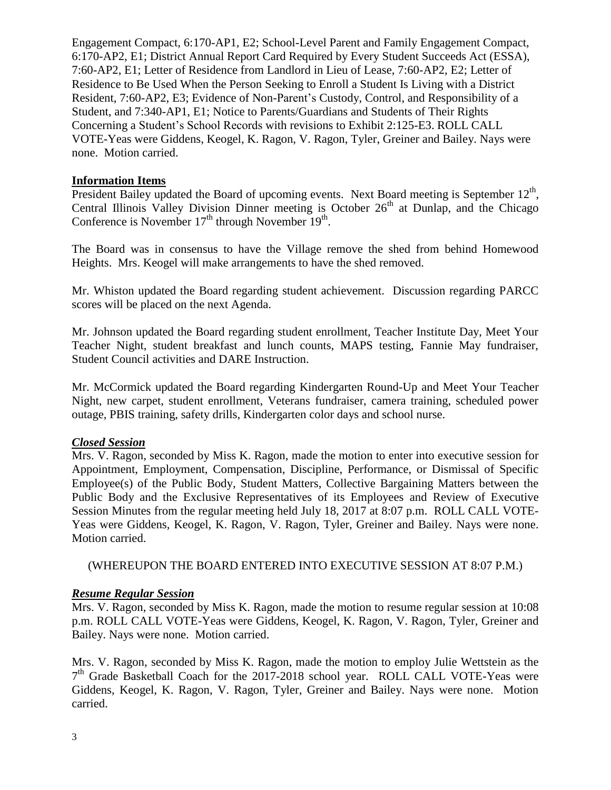Engagement Compact, 6:170-AP1, E2; School-Level Parent and Family Engagement Compact, 6:170-AP2, E1; District Annual Report Card Required by Every Student Succeeds Act (ESSA), 7:60-AP2, E1; Letter of Residence from Landlord in Lieu of Lease, 7:60-AP2, E2; Letter of Residence to Be Used When the Person Seeking to Enroll a Student Is Living with a District Resident, 7:60-AP2, E3; Evidence of Non-Parent's Custody, Control, and Responsibility of a Student, and 7:340-AP1, E1; Notice to Parents/Guardians and Students of Their Rights Concerning a Student's School Records with revisions to Exhibit 2:125-E3. ROLL CALL VOTE-Yeas were Giddens, Keogel, K. Ragon, V. Ragon, Tyler, Greiner and Bailey. Nays were none. Motion carried.

## **Information Items**

President Bailey updated the Board of upcoming events. Next Board meeting is September  $12<sup>th</sup>$ , Central Illinois Valley Division Dinner meeting is October  $26<sup>th</sup>$  at Dunlap, and the Chicago Conference is November  $17<sup>th</sup>$  through November  $19<sup>th</sup>$ .

The Board was in consensus to have the Village remove the shed from behind Homewood Heights. Mrs. Keogel will make arrangements to have the shed removed.

Mr. Whiston updated the Board regarding student achievement. Discussion regarding PARCC scores will be placed on the next Agenda.

Mr. Johnson updated the Board regarding student enrollment, Teacher Institute Day, Meet Your Teacher Night, student breakfast and lunch counts, MAPS testing, Fannie May fundraiser, Student Council activities and DARE Instruction.

Mr. McCormick updated the Board regarding Kindergarten Round-Up and Meet Your Teacher Night, new carpet, student enrollment, Veterans fundraiser, camera training, scheduled power outage, PBIS training, safety drills, Kindergarten color days and school nurse.

#### *Closed Session*

Mrs. V. Ragon, seconded by Miss K. Ragon, made the motion to enter into executive session for Appointment, Employment, Compensation, Discipline, Performance, or Dismissal of Specific Employee(s) of the Public Body, Student Matters, Collective Bargaining Matters between the Public Body and the Exclusive Representatives of its Employees and Review of Executive Session Minutes from the regular meeting held July 18, 2017 at 8:07 p.m. ROLL CALL VOTE-Yeas were Giddens, Keogel, K. Ragon, V. Ragon, Tyler, Greiner and Bailey. Nays were none. Motion carried.

(WHEREUPON THE BOARD ENTERED INTO EXECUTIVE SESSION AT 8:07 P.M.)

# *Resume Regular Session*

Mrs. V. Ragon, seconded by Miss K. Ragon, made the motion to resume regular session at 10:08 p.m. ROLL CALL VOTE-Yeas were Giddens, Keogel, K. Ragon, V. Ragon, Tyler, Greiner and Bailey. Nays were none. Motion carried.

Mrs. V. Ragon, seconded by Miss K. Ragon, made the motion to employ Julie Wettstein as the 7<sup>th</sup> Grade Basketball Coach for the 2017-2018 school year. ROLL CALL VOTE-Yeas were Giddens, Keogel, K. Ragon, V. Ragon, Tyler, Greiner and Bailey. Nays were none. Motion carried.